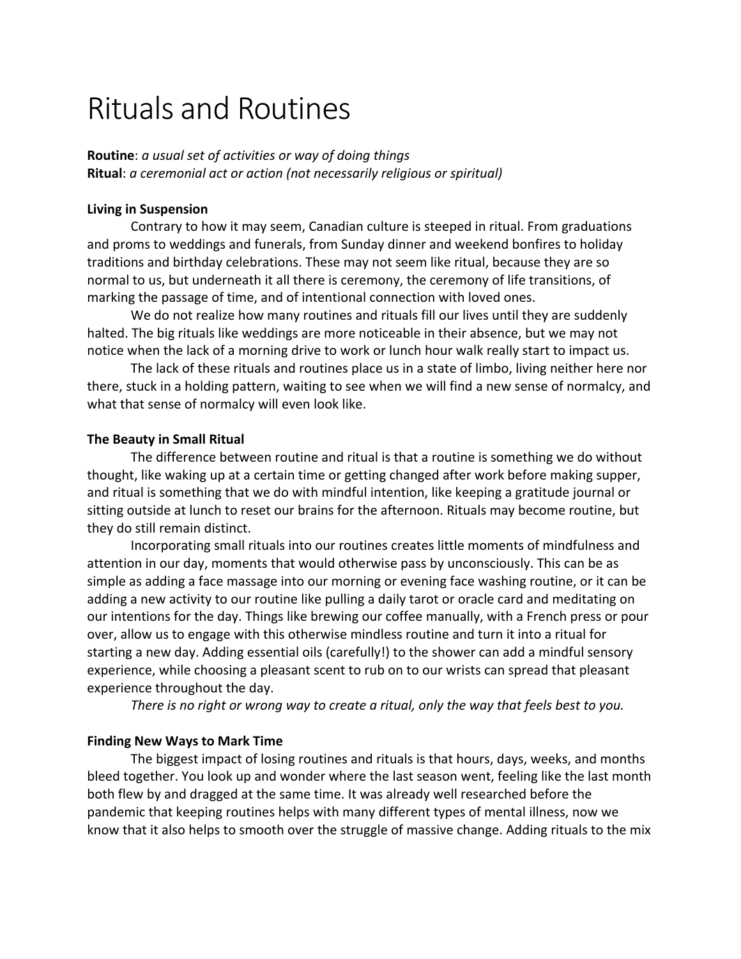# Rituals and Routines

**Routine**: *a usual set of activities or way of doing things* **Ritual**: *a ceremonial act or action (not necessarily religious or spiritual)*

#### **Living in Suspension**

Contrary to how it may seem, Canadian culture is steeped in ritual. From graduations and proms to weddings and funerals, from Sunday dinner and weekend bonfires to holiday traditions and birthday celebrations. These may not seem like ritual, because they are so normal to us, but underneath it all there is ceremony, the ceremony of life transitions, of marking the passage of time, and of intentional connection with loved ones.

We do not realize how many routines and rituals fill our lives until they are suddenly halted. The big rituals like weddings are more noticeable in their absence, but we may not notice when the lack of a morning drive to work or lunch hour walk really start to impact us.

The lack of these rituals and routines place us in a state of limbo, living neither here nor there, stuck in a holding pattern, waiting to see when we will find a new sense of normalcy, and what that sense of normalcy will even look like.

#### **The Beauty in Small Ritual**

The difference between routine and ritual is that a routine is something we do without thought, like waking up at a certain time or getting changed after work before making supper, and ritual is something that we do with mindful intention, like keeping a gratitude journal or sitting outside at lunch to reset our brains for the afternoon. Rituals may become routine, but they do still remain distinct.

Incorporating small rituals into our routines creates little moments of mindfulness and attention in our day, moments that would otherwise pass by unconsciously. This can be as simple as adding a face massage into our morning or evening face washing routine, or it can be adding a new activity to our routine like pulling a daily tarot or oracle card and meditating on our intentions for the day. Things like brewing our coffee manually, with a French press or pour over, allow us to engage with this otherwise mindless routine and turn it into a ritual for starting a new day. Adding essential oils (carefully!) to the shower can add a mindful sensory experience, while choosing a pleasant scent to rub on to our wrists can spread that pleasant experience throughout the day.

*There is no right or wrong way to create a ritual, only the way that feels best to you.*

#### **Finding New Ways to Mark Time**

The biggest impact of losing routines and rituals is that hours, days, weeks, and months bleed together. You look up and wonder where the last season went, feeling like the last month both flew by and dragged at the same time. It was already well researched before the pandemic that keeping routines helps with many different types of mental illness, now we know that it also helps to smooth over the struggle of massive change. Adding rituals to the mix